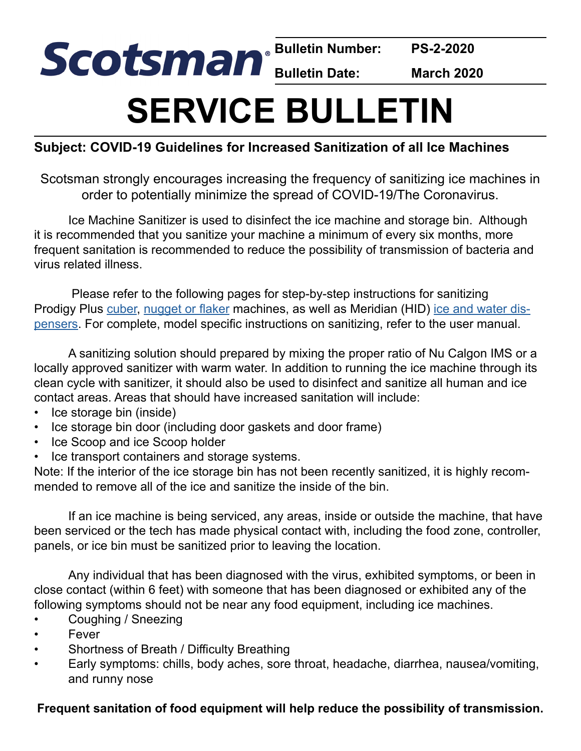**Bulletin Number: PS-2-2020**

**Bulletin Date: March 2020**

# **SERVICE BULLETIN**

#### **Subject: COVID-19 Guidelines for Increased Sanitization of all Ice Machines**

Scotsman strongly encourages increasing the frequency of sanitizing ice machines in order to potentially minimize the spread of COVID-19/The Coronavirus.

Ice Machine Sanitizer is used to disinfect the ice machine and storage bin. Although it is recommended that you sanitize your machine a minimum of every six months, more frequent sanitation is recommended to reduce the possibility of transmission of bacteria and virus related illness.

 Please refer to the following pages for step-by-step instructions for sanitizing Prodigy Plus [cuber](#page-1-0), [nugget or flaker](#page-2-0) machines, as well as Meridian (HID) [ice and water dis](#page-3-0)[pensers](#page-3-0). For complete, model specific instructions on sanitizing, refer to the user manual.

A sanitizing solution should prepared by mixing the proper ratio of Nu Calgon IMS or a locally approved sanitizer with warm water. In addition to running the ice machine through its clean cycle with sanitizer, it should also be used to disinfect and sanitize all human and ice contact areas. Areas that should have increased sanitation will include:

- Ice storage bin (inside)
- Ice storage bin door (including door gaskets and door frame)
- Ice Scoop and ice Scoop holder
- Ice transport containers and storage systems.

Note: If the interior of the ice storage bin has not been recently sanitized, it is highly recommended to remove all of the ice and sanitize the inside of the bin.

If an ice machine is being serviced, any areas, inside or outside the machine, that have been serviced or the tech has made physical contact with, including the food zone, controller, panels, or ice bin must be sanitized prior to leaving the location.

Any individual that has been diagnosed with the virus, exhibited symptoms, or been in close contact (within 6 feet) with someone that has been diagnosed or exhibited any of the following symptoms should not be near any food equipment, including ice machines.

- Coughing / Sneezing
- **Fever**
- Shortness of Breath / Difficulty Breathing
- Early symptoms: chills, body aches, sore throat, headache, diarrhea, nausea/vomiting, and runny nose

#### **Frequent sanitation of food equipment will help reduce the possibility of transmission.**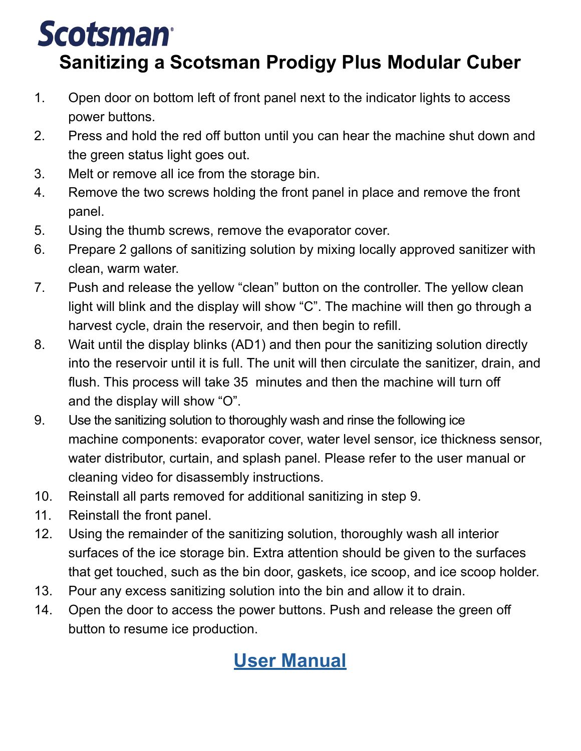### <span id="page-1-0"></span>**Scotsman**

### **Sanitizing a Scotsman Prodigy Plus Modular Cuber**

- 1. Open door on bottom left of front panel next to the indicator lights to access power buttons.
- 2. Press and hold the red off button until you can hear the machine shut down and the green status light goes out.
- 3. Melt or remove all ice from the storage bin.
- 4. Remove the two screws holding the front panel in place and remove the front panel.
- 5. Using the thumb screws, remove the evaporator cover.
- 6. Prepare 2 gallons of sanitizing solution by mixing locally approved sanitizer with clean, warm water.
- 7. Push and release the yellow "clean" button on the controller. The yellow clean light will blink and the display will show "C". The machine will then go through a harvest cycle, drain the reservoir, and then begin to refill.
- 8. Wait until the display blinks (AD1) and then pour the sanitizing solution directly into the reservoir until it is full. The unit will then circulate the sanitizer, drain, and flush. This process will take 35 minutes and then the machine will turn off and the display will show "O".
- 9. Use the sanitizing solution to thoroughly wash and rinse the following ice machine components: evaporator cover, water level sensor, ice thickness sensor, water distributor, curtain, and splash panel. Please refer to the user manual or cleaning video for disassembly instructions.
- 10. Reinstall all parts removed for additional sanitizing in step 9.
- 11. Reinstall the front panel.
- 12. Using the remainder of the sanitizing solution, thoroughly wash all interior surfaces of the ice storage bin. Extra attention should be given to the surfaces that get touched, such as the bin door, gaskets, ice scoop, and ice scoop holder.
- 13. Pour any excess sanitizing solution into the bin and allow it to drain.
- 14. Open the door to access the power buttons. Push and release the green off button to resume ice production.

### **[User Manual](https://www.scotsman-ice.com/service/User%20Manuals/17359901.pdf)**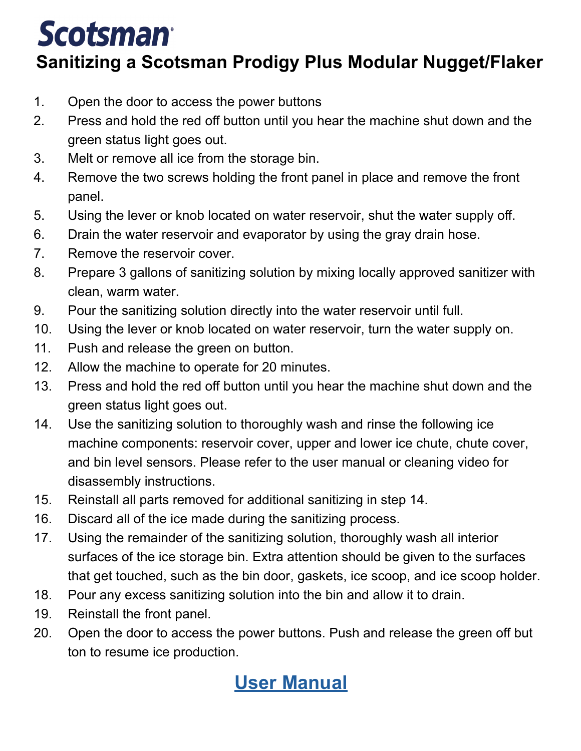## <span id="page-2-0"></span>**Scotsman**

### **Sanitizing a Scotsman Prodigy Plus Modular Nugget/Flaker**

- 1. Open the door to access the power buttons
- 2. Press and hold the red off button until you hear the machine shut down and the green status light goes out.
- 3. Melt or remove all ice from the storage bin.
- 4. Remove the two screws holding the front panel in place and remove the front panel.
- 5. Using the lever or knob located on water reservoir, shut the water supply off.
- 6. Drain the water reservoir and evaporator by using the gray drain hose.
- 7. Remove the reservoir cover.
- 8. Prepare 3 gallons of sanitizing solution by mixing locally approved sanitizer with clean, warm water.
- 9. Pour the sanitizing solution directly into the water reservoir until full.
- 10. Using the lever or knob located on water reservoir, turn the water supply on.
- 11. Push and release the green on button.
- 12. Allow the machine to operate for 20 minutes.
- 13. Press and hold the red off button until you hear the machine shut down and the green status light goes out.
- 14. Use the sanitizing solution to thoroughly wash and rinse the following ice machine components: reservoir cover, upper and lower ice chute, chute cover, and bin level sensors. Please refer to the user manual or cleaning video for disassembly instructions.
- 15. Reinstall all parts removed for additional sanitizing in step 14.
- 16. Discard all of the ice made during the sanitizing process.
- 17. Using the remainder of the sanitizing solution, thoroughly wash all interior surfaces of the ice storage bin. Extra attention should be given to the surfaces that get touched, such as the bin door, gaskets, ice scoop, and ice scoop holder.
- 18. Pour any excess sanitizing solution into the bin and allow it to drain.
- 19. Reinstall the front panel.
- 20. Open the door to access the power buttons. Push and release the green off but ton to resume ice production.

### **[User Manual](https://www.scotsman-ice.com/service/User%20Manuals/17363301.pdf)**